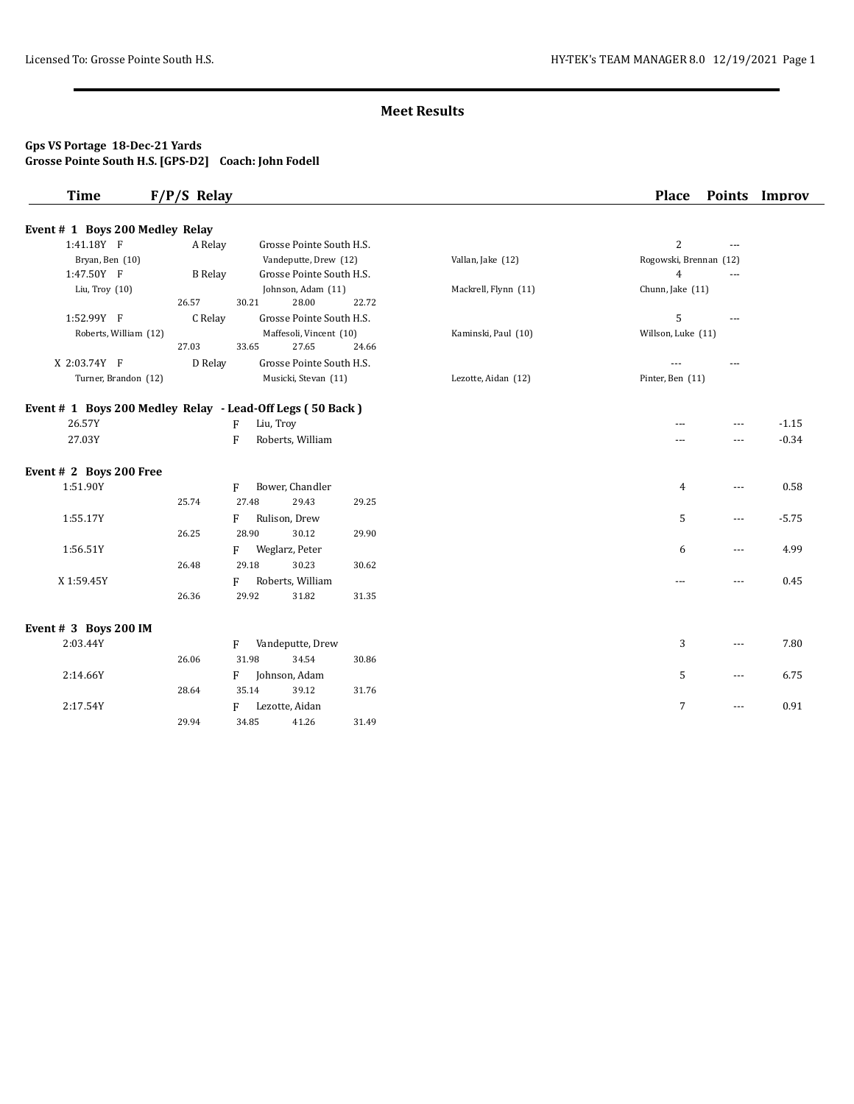# **Gps VS Portage 18-Dec-21 Yards Grosse Pointe South H.S. [GPS-D2] Coach: John Fodell**

| <b>Time</b>                                               | $F/P/S$ Relay  |                                  |       |                      | <b>Place</b>           |                          | Points Improv |
|-----------------------------------------------------------|----------------|----------------------------------|-------|----------------------|------------------------|--------------------------|---------------|
| Event # 1 Boys 200 Medley Relay                           |                |                                  |       |                      |                        |                          |               |
| 1:41.18Y F                                                | A Relay        | Grosse Pointe South H.S.         |       |                      | $\overline{c}$         | $\overline{a}$           |               |
| Bryan, Ben (10)                                           |                | Vandeputte, Drew (12)            |       | Vallan, Jake (12)    | Rogowski, Brennan (12) |                          |               |
| 1:47.50Y F                                                | <b>B</b> Relay | Grosse Pointe South H.S.         |       |                      | $\overline{4}$         | $\overline{a}$           |               |
| Liu, Troy (10)                                            |                | Johnson, Adam (11)               |       | Mackrell, Flynn (11) | Chunn, Jake (11)       |                          |               |
|                                                           | 26.57          | 30.21<br>28.00                   | 22.72 |                      |                        |                          |               |
| 1:52.99Y F                                                | C Relay        | Grosse Pointe South H.S.         |       |                      | 5                      | $\overline{a}$           |               |
| Roberts, William (12)                                     |                | Maffesoli, Vincent (10)          |       | Kaminski, Paul (10)  | Willson, Luke (11)     |                          |               |
|                                                           | 27.03          | 33.65<br>27.65                   | 24.66 |                      |                        |                          |               |
| X 2:03.74Y F                                              | D Relay        | Grosse Pointe South H.S.         |       |                      |                        | $- - -$                  |               |
| Turner, Brandon (12)                                      |                | Musicki, Stevan (11)             |       | Lezotte, Aidan (12)  | Pinter, Ben (11)       |                          |               |
| Event # 1 Boys 200 Medley Relay - Lead-Off Legs (50 Back) |                |                                  |       |                      |                        |                          |               |
| 26.57Y                                                    |                | Liu, Troy<br>F                   |       |                      |                        | $\overline{a}$           | $-1.15$       |
| 27.03Y                                                    |                | $\mathbf{F}$<br>Roberts, William |       |                      | ---                    | $---$                    | $-0.34$       |
| Event # 2 Boys 200 Free                                   |                |                                  |       |                      |                        |                          |               |
| 1:51.90Y                                                  |                | Bower, Chandler<br>F             |       |                      | $\overline{4}$         | $\overline{a}$           | 0.58          |
|                                                           | 25.74          | 27.48<br>29.43                   | 29.25 |                      |                        |                          |               |
| 1:55.17Y                                                  |                | Rulison, Drew<br>F               |       |                      | 5                      | $---$                    | $-5.75$       |
|                                                           | 26.25          | 28.90<br>30.12                   | 29.90 |                      |                        |                          |               |
| 1:56.51Y                                                  |                | Weglarz, Peter<br>F              |       |                      | 6                      | $\overline{a}$           | 4.99          |
|                                                           | 26.48          | 29.18<br>30.23                   | 30.62 |                      |                        |                          |               |
| X1:59.45Y                                                 |                | Roberts, William<br>F            |       |                      | $---$                  | $- - -$                  | 0.45          |
|                                                           | 26.36          | 29.92<br>31.82                   | 31.35 |                      |                        |                          |               |
| Event # 3 Boys 200 IM                                     |                |                                  |       |                      |                        |                          |               |
| 2:03.44Y                                                  |                | Vandeputte, Drew<br>F            |       |                      | 3                      | $---$                    | 7.80          |
|                                                           | 26.06          | 31.98<br>34.54                   | 30.86 |                      |                        |                          |               |
| 2:14.66Y                                                  |                | Johnson, Adam<br>F               |       |                      | 5                      | $\cdots$                 | 6.75          |
|                                                           | 28.64          | 35.14<br>39.12                   | 31.76 |                      |                        |                          |               |
| 2:17.54Y                                                  |                | Lezotte, Aidan<br>F              |       |                      | $7\overline{ }$        | $\overline{\phantom{a}}$ | 0.91          |
|                                                           | 29.94          | 34.85<br>41.26                   | 31.49 |                      |                        |                          |               |
|                                                           |                |                                  |       |                      |                        |                          |               |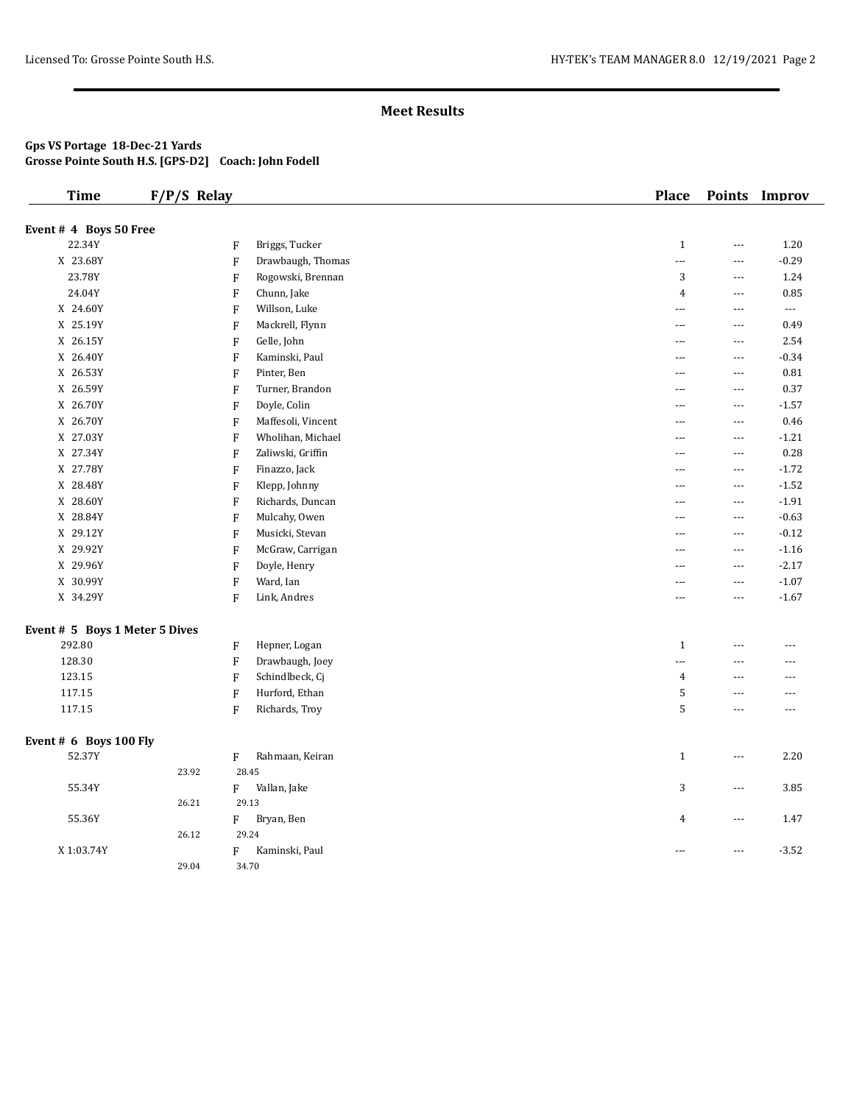#### **Gps VS Portage 18-Dec-21 Yards Grosse Pointe South H.S. [GPS-D2] Coach: John Fodell**

| <b>Time</b>                    | $F/P/S$ Relay |                           |                    | <b>Place</b>             |                          | Points Improv |
|--------------------------------|---------------|---------------------------|--------------------|--------------------------|--------------------------|---------------|
| Event # 4 Boys 50 Free         |               |                           |                    |                          |                          |               |
| 22.34Y                         |               | F                         | Briggs, Tucker     | $\mathbf{1}$             | $\scriptstyle\cdots$     | 1.20          |
| X 23.68Y                       |               | ${\bf F}$                 | Drawbaugh, Thomas  | $\overline{a}$           | $\scriptstyle\cdots$     | $-0.29$       |
| 23.78Y                         |               | F                         | Rogowski, Brennan  | 3                        | $\cdots$                 | 1.24          |
| 24.04Y                         |               | $\boldsymbol{\mathrm{F}}$ | Chunn, Jake        | $\pmb{4}$                | $\scriptstyle\cdots$     | 0.85          |
| X 24.60Y                       |               | F                         | Willson, Luke      | ---                      | $\cdots$                 | $\cdots$      |
| X 25.19Y                       |               | ${\bf F}$                 | Mackrell, Flynn    | ---                      | ---                      | 0.49          |
| X 26.15Y                       |               | F                         | Gelle, John        | ---                      | $\cdots$                 | 2.54          |
| X 26.40Y                       |               | $\boldsymbol{\mathrm{F}}$ | Kaminski, Paul     | ---                      | $\scriptstyle\cdots$     | $-0.34$       |
| X 26.53Y                       |               | F                         | Pinter, Ben        | ---                      | $\cdots$                 | 0.81          |
| X 26.59Y                       |               | $\boldsymbol{\mathrm{F}}$ | Turner, Brandon    | ---                      | $\cdots$                 | 0.37          |
| X 26.70Y                       |               | ${\bf F}$                 | Doyle, Colin       | ---                      | $\scriptstyle\cdots$     | $-1.57$       |
| X 26.70Y                       |               | $\boldsymbol{\mathrm{F}}$ | Maffesoli, Vincent | $\overline{a}$           | $\scriptstyle\cdots$     | 0.46          |
| X 27.03Y                       |               | ${\bf F}$                 | Wholihan, Michael  | ---                      | $\cdots$                 | $-1.21$       |
| X 27.34Y                       |               | $\rm F$                   | Zaliwski, Griffin  | $\overline{\phantom{a}}$ | $\scriptstyle\cdots$     | 0.28          |
| X 27.78Y                       |               | ${\bf F}$                 | Finazzo, Jack      | $---$                    | $\scriptstyle\cdots$     | $-1.72$       |
| X 28.48Y                       |               | $\boldsymbol{\mathrm{F}}$ | Klepp, Johnny      | $\overline{a}$           | $\scriptstyle\cdots$     | $-1.52$       |
| X 28.60Y                       |               | $\boldsymbol{\mathrm{F}}$ | Richards, Duncan   | $\overline{a}$           | $\cdots$                 | $-1.91$       |
| X 28.84Y                       |               | $\boldsymbol{\mathrm{F}}$ | Mulcahy, Owen      | $\cdots$                 | $\scriptstyle\cdots$     | $-0.63$       |
| X 29.12Y                       |               | $\boldsymbol{\mathrm{F}}$ | Musicki, Stevan    | $- - -$                  | $\ldots$                 | $-0.12$       |
| X 29.92Y                       |               | $\mathbf{F}$              | McGraw, Carrigan   | $\overline{a}$           | $\ldots$                 | $-1.16$       |
| X 29.96Y                       |               | $\boldsymbol{\mathrm{F}}$ | Doyle, Henry       | $- - -$                  | $\sim$ $\sim$ $\sim$     | $-2.17$       |
| X 30.99Y                       |               | $\mathbf F$               | Ward, Ian          | ---                      | $\ldots$                 | $-1.07$       |
| X 34.29Y                       |               | $\mathbf F$               | Link, Andres       | $---$                    | $\cdots$                 | $-1.67$       |
| Event # 5 Boys 1 Meter 5 Dives |               |                           |                    |                          |                          |               |
| 292.80                         |               | F                         | Hepner, Logan      | $\mathbf{1}$             | ---                      | ---           |
| 128.30                         |               | $\boldsymbol{\mathrm{F}}$ | Drawbaugh, Joey    | $\overline{a}$           | $\overline{\phantom{a}}$ | ---           |
| 123.15                         |               | $\mathbf{F}$              | Schindlbeck, Cj    | 4                        | $\cdots$                 | ---           |
| 117.15                         |               | $\boldsymbol{\mathrm{F}}$ | Hurford, Ethan     | 5                        | ---                      | ---           |
| 117.15                         |               | $\mathbf{F}$              | Richards, Troy     | 5                        | $\overline{a}$           | ---           |
| Event # 6 Boys 100 Fly         |               |                           |                    |                          |                          |               |
| 52.37Y                         |               | ${\bf F}$                 | Rahmaan, Keiran    | $\mathbf{1}$             | $\overline{\phantom{a}}$ | 2.20          |
|                                | 23.92         | 28.45                     |                    |                          |                          |               |
| 55.34Y                         |               | ${\rm F}$                 | Vallan, Jake       | 3                        | $\cdots$                 | 3.85          |
|                                | 26.21         | 29.13                     |                    |                          |                          |               |
| 55.36Y                         |               | F                         | Bryan, Ben         | $\overline{4}$           | $\cdots$                 | 1.47          |
|                                | 26.12         | 29.24                     |                    |                          |                          |               |
| X 1:03.74Y                     |               | F                         | Kaminski, Paul     | $---$                    | $---$                    | $-3.52$       |
|                                | 29.04         | 34.70                     |                    |                          |                          |               |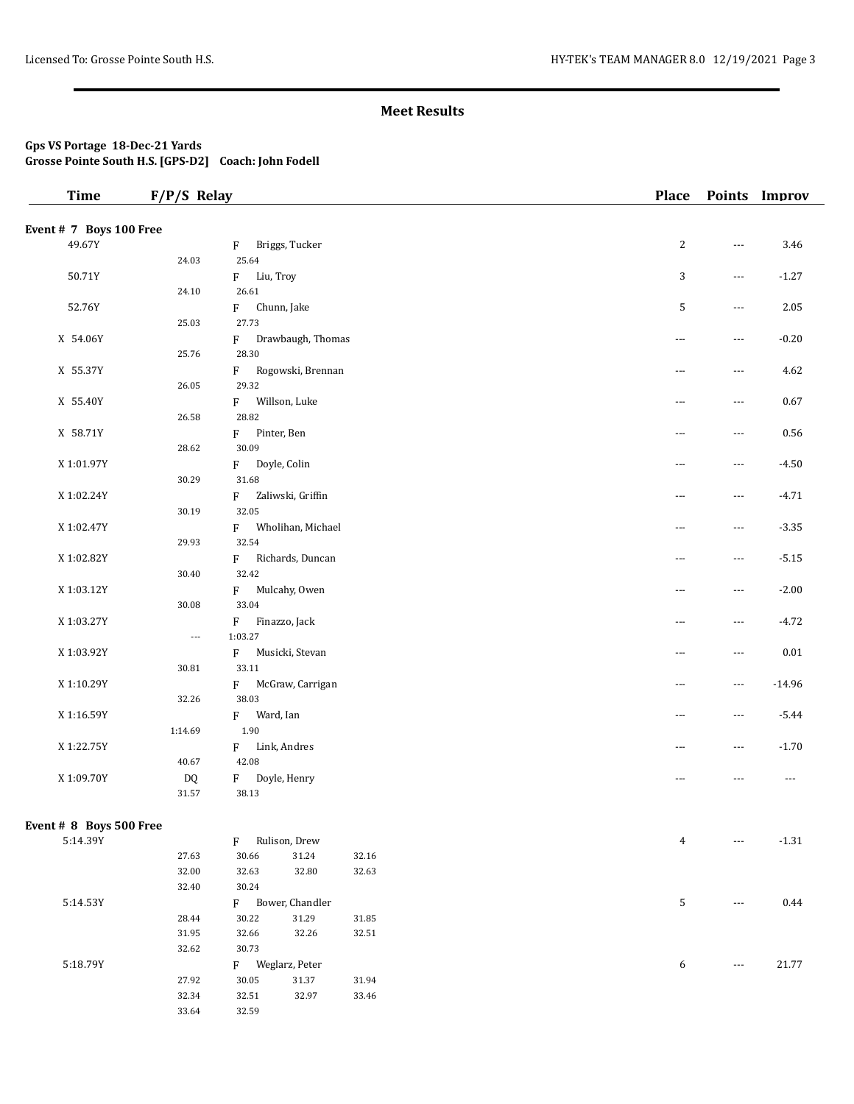## **Gps VS Portage 18-Dec-21 Yards Grosse Pointe South H.S. [GPS-D2] Coach: John Fodell**

| <b>Time</b>             | $F/P/S$ Relay |                |                   |           |          | <b>Place</b>   |                          | Points Improv |
|-------------------------|---------------|----------------|-------------------|-----------|----------|----------------|--------------------------|---------------|
| Event # 7 Boys 100 Free |               |                |                   |           |          |                |                          |               |
| 49.67Y                  |               | F              | Briggs, Tucker    |           |          | $\overline{c}$ | ---                      | 3.46          |
|                         | 24.03         | 25.64          |                   |           |          |                |                          |               |
| 50.71Y                  |               | F              | Liu, Troy         |           |          | 3              | $---$                    | $-1.27$       |
|                         | 24.10         | 26.61          |                   |           |          |                |                          |               |
| 52.76Y                  |               | F              | Chunn, Jake       |           |          | 5              | $---$                    | 2.05          |
|                         | 25.03         | 27.73          |                   |           |          |                |                          |               |
| X 54.06Y                |               | F              | Drawbaugh, Thomas |           |          | $---$          | $---$                    | $-0.20$       |
|                         | 25.76         | 28.30          |                   |           |          |                |                          |               |
| X 55.37Y                |               | $F -$          | Rogowski, Brennan |           |          | $\cdots$       | $\overline{\phantom{a}}$ | 4.62          |
|                         | 26.05         | 29.32          |                   |           |          |                |                          |               |
| X 55.40Y                |               | F              | Willson, Luke     |           |          | $---$          | $\overline{\phantom{a}}$ | 0.67          |
|                         | 26.58         | 28.82          |                   |           |          |                |                          |               |
| X 58.71Y                |               | F              | Pinter, Ben       |           |          | $---$          | $\scriptstyle\cdots$     | 0.56          |
|                         | 28.62         | 30.09          |                   |           |          |                |                          |               |
| X 1:01.97Y              |               | F              | Doyle, Colin      |           |          | $---$          | $---$                    | $-4.50$       |
|                         | 30.29         | 31.68          |                   |           |          |                |                          |               |
| X 1:02.24Y              |               | F              | Zaliwski, Griffin |           |          | $\cdots$       | $\overline{\phantom{a}}$ | $-4.71$       |
|                         | 30.19         | 32.05          |                   |           |          |                |                          |               |
| X 1:02.47Y              |               | F              | Wholihan, Michael |           |          | $---$          | $\overline{\phantom{a}}$ | $-3.35$       |
|                         | 29.93         | 32.54          |                   |           |          |                |                          |               |
| X 1:02.82Y              |               | F              | Richards, Duncan  |           |          | $---$          | $\scriptstyle\cdots$     | $-5.15$       |
|                         | 30.40         | 32.42          |                   |           |          |                |                          |               |
| X 1:03.12Y              |               | F              | Mulcahy, Owen     |           |          | $---$          | $---$                    | $-2.00$       |
|                         | 30.08         | 33.04          |                   |           |          |                |                          |               |
| X 1:03.27Y              |               | F              | Finazzo, Jack     |           |          | $\cdots$       | $\overline{\phantom{a}}$ | $-4.72$       |
|                         | ---           | 1:03.27        |                   |           |          |                |                          |               |
| X 1:03.92Y              |               | $\mathbf{F}$   | Musicki, Stevan   |           |          | $---$          | $\overline{\phantom{a}}$ | 0.01          |
|                         | 30.81         | 33.11          |                   |           |          |                |                          |               |
| X 1:10.29Y              |               | F              | McGraw, Carrigan  |           |          | $---$          | $\cdots$                 | $-14.96$      |
|                         | 32.26         | 38.03          |                   |           |          |                |                          |               |
| X 1:16.59Y              |               | Ward, Ian<br>F |                   |           |          | $---$          | $---$                    | $-5.44$       |
|                         | 1:14.69       | 1.90           |                   |           |          |                |                          |               |
| X 1:22.75Y              |               | F Link, Andres |                   |           | $\cdots$ | $---$          | $-1.70$                  |               |
|                         | 40.67         | 42.08          |                   |           |          |                |                          |               |
| X 1:09.70Y              | DQ            | F              | Doyle, Henry      |           |          | $\cdots$       | $---$                    | $\cdots$      |
|                         | $31.57\,$     | 38.13          |                   |           |          |                |                          |               |
|                         |               |                |                   |           |          |                |                          |               |
| Event # 8 Boys 500 Free |               |                |                   |           |          |                |                          |               |
| 5:14.39Y                |               | F              | Rulison, Drew     |           |          | 4              | $---$                    | $-1.31$       |
|                         | 27.63         | 30.66          | 31.24             | 32.16     |          |                |                          |               |
|                         | 32.00         | 32.63          | 32.80             | 32.63     |          |                |                          |               |
|                         | 32.40         | 30.24          |                   |           |          |                |                          |               |
| 5:14.53Y                |               | F              | Bower, Chandler   |           |          | 5              | $\scriptstyle\cdots$     | 0.44          |
|                         | 28.44         | 30.22          | 31.29             | $31.85\,$ |          |                |                          |               |
|                         | 31.95         | 32.66          | 32.26             | 32.51     |          |                |                          |               |
|                         | 32.62         | 30.73          |                   |           |          |                |                          |               |
| 5:18.79Y                |               |                | F Weglarz, Peter  |           |          | 6              | ---                      | 21.77         |
|                         | 27.92         | 30.05          | $31.37\,$         | 31.94     |          |                |                          |               |
|                         | 32.34         | 32.51          | 32.97             | 33.46     |          |                |                          |               |
|                         | 33.64         | 32.59          |                   |           |          |                |                          |               |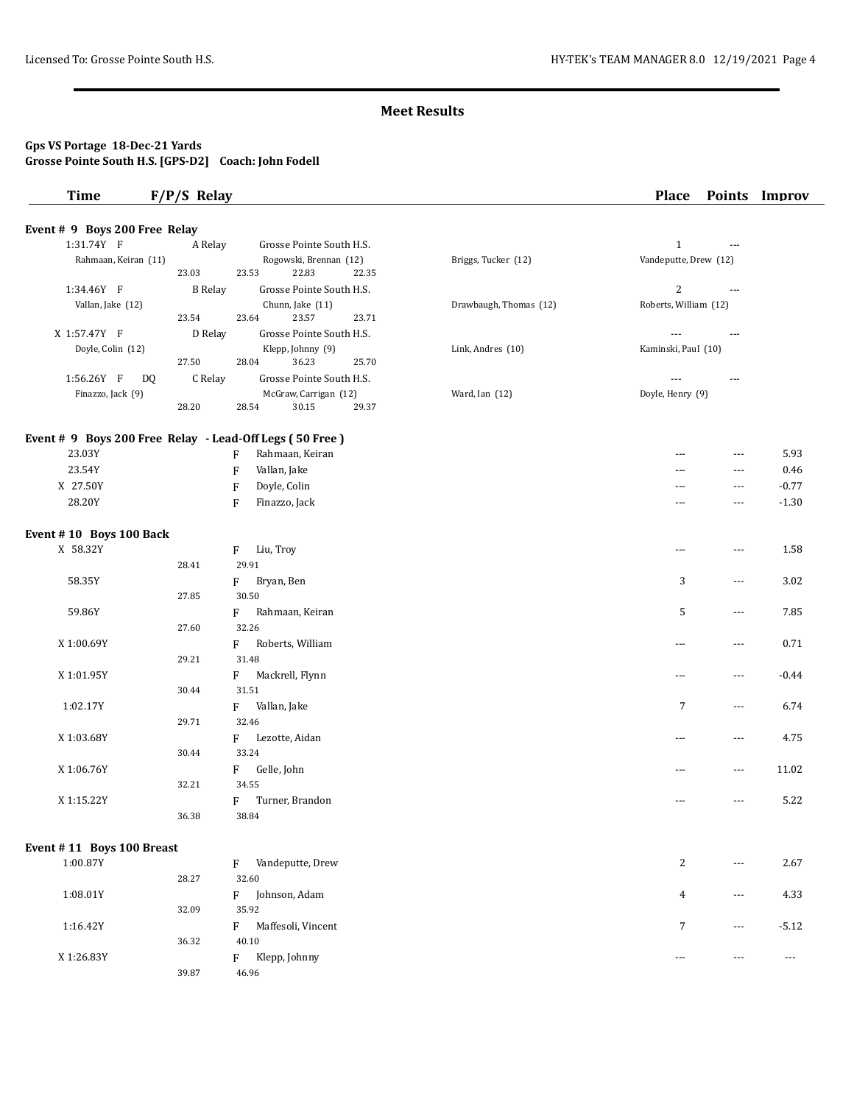#### **Gps VS Portage 18-Dec-21 Yards Grosse Pointe South H.S. [GPS-D2] Coach: John Fodell**

# **Time F/P/S Relay Place Points Improv Event # 9 Boys 200 Free Relay**  1:31.74Y F A Relay Grosse Pointe South H.S. 1 ---Rahmaan, Keiran (11) Rogowski, Brennan (12) Briggs, Tucker (12) Vandeputte, Drew (12) 23.03 23.53 22.83 22.35 1:34.46Y F B Relay Grosse Pointe South H.S. 2 ---Vallan, Jake (12) Chunn, Jake (11) Drawbaugh, Thomas (12) Roberts, William (12) 23.54 23.54 23.57 23.71 23.54 23.64 23.57 23.71

X 1:57.47Y F D Relay Grosse Pointe South H.S.  $\qquad \qquad \ldots$ Doyle, Colin (12) Klepp, Johnny (9) Link, Andres (10) Kaminski, Paul (10)

|                                                         | 27.50         | 28.04          | 36.23                    | 25.70 |                |                  |                      |         |
|---------------------------------------------------------|---------------|----------------|--------------------------|-------|----------------|------------------|----------------------|---------|
| 1:56.26Y F                                              | DQ<br>C Relay |                | Grosse Pointe South H.S. |       |                | $---$            | ---                  |         |
| Finazzo, Jack (9)                                       |               |                | McGraw, Carrigan (12)    |       | Ward, Ian (12) | Doyle, Henry (9) |                      |         |
|                                                         | 28.20         | 28.54          | 30.15                    | 29.37 |                |                  |                      |         |
| Event # 9 Boys 200 Free Relay - Lead-Off Legs (50 Free) |               |                |                          |       |                |                  |                      |         |
| 23.03Y                                                  |               | F              | Rahmaan, Keiran          |       |                | $\cdots$         | $\cdots$             | 5.93    |
| 23.54Y                                                  |               | F              | Vallan, Jake             |       |                | $---$            | $\cdots$             | 0.46    |
| X 27.50Y                                                |               | F              | Doyle, Colin             |       |                | $---$            | $\cdots$             | $-0.77$ |
| 28.20Y                                                  |               | F              | Finazzo, Jack            |       |                | ---              | $\cdots$             | $-1.30$ |
| Event #10 Boys 100 Back                                 |               |                |                          |       |                |                  |                      |         |
| X 58.32Y                                                |               | Liu, Troy<br>F |                          |       |                | ---              | $\cdots$             | 1.58    |
|                                                         | 28.41         | 29.91          |                          |       |                |                  |                      |         |
| 58.35Y                                                  |               | F              | Bryan, Ben               |       |                | 3                | $\cdots$             | 3.02    |
|                                                         | 27.85         | 30.50          |                          |       |                |                  |                      |         |
| 59.86Y                                                  |               | F              | Rahmaan, Keiran          |       |                | 5                | $\sim$ $\sim$ $\sim$ | 7.85    |
|                                                         | 27.60         | 32.26          |                          |       |                |                  |                      |         |
| X 1:00.69Y                                              |               | F              | Roberts, William         |       |                | $\cdots$         | $\cdots$             | 0.71    |
|                                                         | 29.21         | 31.48          |                          |       |                |                  |                      |         |
| X 1:01.95Y                                              |               | F              | Mackrell, Flynn          |       |                | ---              | $\cdots$             | $-0.44$ |
|                                                         | 30.44         | 31.51          |                          |       |                |                  |                      |         |
| 1:02.17Y                                                |               | $F =$          | Vallan, Jake             |       |                | $\overline{7}$   | $\cdots$             | 6.74    |
|                                                         | 29.71         | 32.46          |                          |       |                |                  |                      |         |
| X 1:03.68Y                                              |               | F              | Lezotte, Aidan           |       |                | ---              | $\cdots$             | 4.75    |
|                                                         | 30.44         | 33.24          |                          |       |                |                  |                      |         |
| X 1:06.76Y                                              |               | F              | Gelle, John              |       |                | ---              | $\cdots$             | 11.02   |
|                                                         | 32.21         | 34.55          |                          |       |                |                  |                      |         |
| X 1:15.22Y                                              |               | F              | Turner, Brandon          |       |                | ---              | $- - -$              | 5.22    |
|                                                         | 36.38         | 38.84          |                          |       |                |                  |                      |         |
|                                                         |               |                |                          |       |                |                  |                      |         |

#### **Event # 11 Boys 100 Breast**

| 1:00.87Y   |       | Vandeputte, Drew<br>F   | C.<br>∠ | $\sim$ $\sim$ $\sim$ | 2.67    |
|------------|-------|-------------------------|---------|----------------------|---------|
|            | 28.27 | 32.60                   |         |                      |         |
| 1:08.01Y   |       | Johnson, Adam<br>Е      | 4       | $\sim$ $\sim$ $\sim$ | 4.33    |
|            | 32.09 | 35.92                   |         |                      |         |
| 1:16.42Y   |       | Maffesoli, Vincent<br>F | 7       | $\cdots$             | $-5.12$ |
|            | 36.32 | 40.10                   |         |                      |         |
| X 1:26.83Y |       | Klepp, Johnny<br>F      | $- - -$ | $- - -$              | $- - -$ |
|            | 39.87 | 46.96                   |         |                      |         |